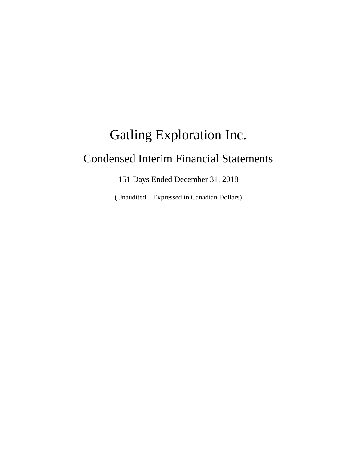# Gatling Exploration Inc. Condensed Interim Financial Statements

151 Days Ended December 31, 2018

(Unaudited – Expressed in Canadian Dollars)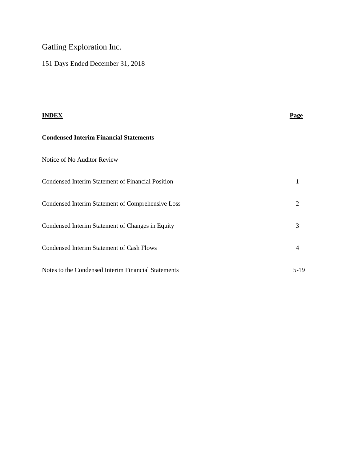# Gatling Exploration Inc.

151 Days Ended December 31, 2018

| <b>INDEX</b>                                        | Page   |
|-----------------------------------------------------|--------|
| <b>Condensed Interim Financial Statements</b>       |        |
| Notice of No Auditor Review                         |        |
| Condensed Interim Statement of Financial Position   | 1      |
| Condensed Interim Statement of Comprehensive Loss   | 2      |
| Condensed Interim Statement of Changes in Equity    | 3      |
| <b>Condensed Interim Statement of Cash Flows</b>    | 4      |
| Notes to the Condensed Interim Financial Statements | $5-19$ |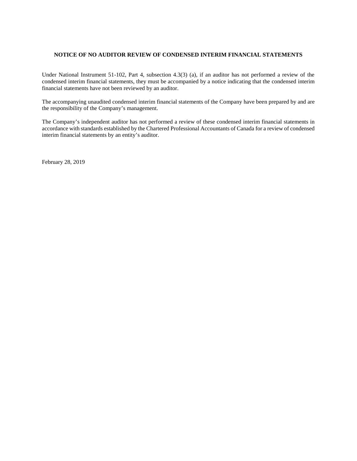#### **NOTICE OF NO AUDITOR REVIEW OF CONDENSED INTERIM FINANCIAL STATEMENTS**

Under National Instrument 51-102, Part 4, subsection 4.3(3) (a), if an auditor has not performed a review of the condensed interim financial statements, they must be accompanied by a notice indicating that the condensed interim financial statements have not been reviewed by an auditor.

The accompanying unaudited condensed interim financial statements of the Company have been prepared by and are the responsibility of the Company's management.

The Company's independent auditor has not performed a review of these condensed interim financial statements in accordance with standards established by the Chartered Professional Accountants of Canada for a review of condensed interim financial statements by an entity's auditor.

February 28, 2019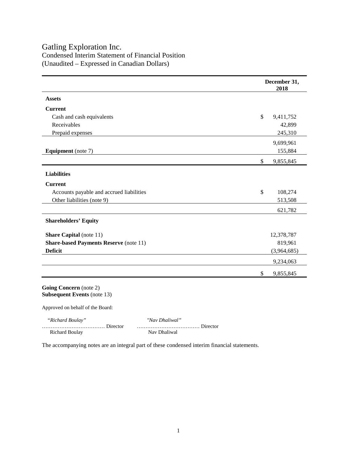## Gatling Exploration Inc.

Condensed Interim Statement of Financial Position (Unaudited – Expressed in Canadian Dollars)

|                                               | December 31,<br>2018 |             |
|-----------------------------------------------|----------------------|-------------|
| <b>Assets</b>                                 |                      |             |
| <b>Current</b>                                |                      |             |
| Cash and cash equivalents                     | $\mathbb{S}$         | 9,411,752   |
| Receivables                                   |                      | 42,899      |
| Prepaid expenses                              |                      | 245,310     |
|                                               |                      | 9,699,961   |
| <b>Equipment</b> (note 7)                     |                      | 155,884     |
|                                               | $\mathbb{S}$         | 9,855,845   |
| <b>Liabilities</b>                            |                      |             |
| <b>Current</b>                                |                      |             |
| Accounts payable and accrued liabilities      | $\mathbb{S}$         | 108,274     |
| Other liabilities (note 9)                    |                      | 513,508     |
|                                               |                      | 621,782     |
| <b>Shareholders' Equity</b>                   |                      |             |
| <b>Share Capital</b> (note 11)                |                      | 12,378,787  |
| <b>Share-based Payments Reserve (note 11)</b> |                      | 819,961     |
| <b>Deficit</b>                                |                      | (3,964,685) |
|                                               |                      | 9,234,063   |
|                                               | \$                   | 9,855,845   |

**Going Concern** (note 2) **Subsequent Events** (note 13)

Approved on behalf of the Board:

……………………………… Director ……………………………… Director

 *"Richard Boulay" "Nav Dhaliwal"* Richard Boulay Nav Dhaliwal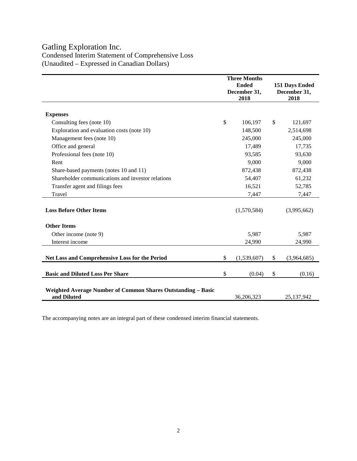# Gatling Exploration Inc.

Condensed Interim Statement of Comprehensive Loss (Unaudited – Expressed in Canadian Dollars)

|                                                                             | <b>Three Months</b> |    |                |
|-----------------------------------------------------------------------------|---------------------|----|----------------|
|                                                                             | <b>Ended</b>        |    | 151 Days Ended |
|                                                                             | December 31,        |    | December 31,   |
|                                                                             | 2018                |    | 2018           |
| <b>Expenses</b>                                                             |                     |    |                |
|                                                                             | \$                  | \$ |                |
| Consulting fees (note 10)                                                   | 106,197             |    | 121,697        |
| Exploration and evaluation costs (note 10)                                  | 148,500             |    | 2,514,698      |
| Management fees (note 10)                                                   | 245,000             |    | 245,000        |
| Office and general                                                          | 17,489              |    | 17,735         |
| Professional fees (note 10)                                                 | 93,585              |    | 93,630         |
| Rent                                                                        | 9,000               |    | 9,000          |
| Share-based payments (notes 10 and 11)                                      | 872,438             |    | 872,438        |
| Shareholder communications and investor relations                           | 54,407              |    | 61,232         |
| Transfer agent and filings fees                                             | 16,521              |    | 52,785         |
| Travel                                                                      | 7,447               |    | 7,447          |
|                                                                             |                     |    |                |
| <b>Loss Before Other Items</b>                                              | (1,570,584)         |    | (3,995,662)    |
| <b>Other Items</b>                                                          |                     |    |                |
| Other income (note 9)                                                       | 5,987               |    | 5,987          |
| Interest income                                                             | 24,990              |    | 24,990         |
|                                                                             |                     |    |                |
| Net Loss and Comprehensive Loss for the Period                              | \$<br>(1,539,607)   | \$ | (3,964,685)    |
| <b>Basic and Diluted Loss Per Share</b>                                     | \$<br>(0.04)        | \$ | (0.16)         |
|                                                                             |                     |    |                |
|                                                                             |                     |    |                |
| Weighted Average Number of Common Shares Outstanding - Basic<br>and Diluted | 36,206,323          |    | 25,137,942     |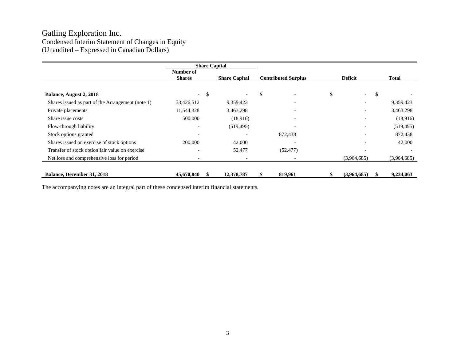## Gatling Exploration Inc. Condensed Interim Statement of Changes in Equity (Unaudited – Expressed in Canadian Dollars)

|                                                   |                            |      | <b>Share Capital</b>     |                            |                          |             |
|---------------------------------------------------|----------------------------|------|--------------------------|----------------------------|--------------------------|-------------|
|                                                   | Number of<br><b>Shares</b> |      | <b>Share Capital</b>     | <b>Contributed Surplus</b> | <b>Deficit</b>           | Total       |
| <b>Balance, August 2, 2018</b>                    |                            | - \$ | $\blacksquare$           | \$                         | \$<br>$\blacksquare$     | \$          |
| Shares issued as part of the Arrangement (note 1) | 33,426,512                 |      | 9,359,423                | $\qquad \qquad$            | $\qquad \qquad$          | 9,359,423   |
| Private placements                                | 11,544,328                 |      | 3,463,298                |                            | $\overline{\phantom{0}}$ | 3,463,298   |
| Share issue costs                                 | 500,000                    |      | (18,916)                 | $\overline{\phantom{a}}$   | $\overline{\phantom{0}}$ | (18,916)    |
| Flow-through liability                            |                            |      | (519, 495)               |                            | $\overline{\phantom{0}}$ | (519, 495)  |
| Stock options granted                             |                            |      |                          | 872,438                    | $\overline{\phantom{a}}$ | 872,438     |
| Shares issued on exercise of stock options        | 200,000                    |      | 42,000                   |                            |                          | 42,000      |
| Transfer of stock option fair value on exercise   |                            |      | 52,477                   | (52, 477)                  |                          |             |
| Net loss and comprehensive loss for period        |                            |      | $\overline{\phantom{a}}$ | $\overline{\phantom{a}}$   | (3,964,685)              | (3,964,685) |
| <b>Balance, December 31, 2018</b>                 | 45,670,840                 |      | 12,378,787               | 819,961                    | (3,964,685)              | 9,234,063   |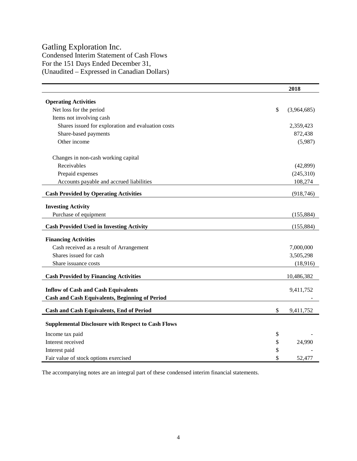# Gatling Exploration Inc.

Condensed Interim Statement of Cash Flows For the 151 Days Ended December 31, (Unaudited – Expressed in Canadian Dollars)

|                                                           | 2018              |
|-----------------------------------------------------------|-------------------|
| <b>Operating Activities</b>                               |                   |
| Net loss for the period                                   | \$<br>(3,964,685) |
| Items not involving cash                                  |                   |
| Shares issued for exploration and evaluation costs        | 2,359,423         |
| Share-based payments                                      | 872,438           |
| Other income                                              | (5,987)           |
| Changes in non-cash working capital                       |                   |
| Receivables                                               | (42,899)          |
| Prepaid expenses                                          | (245,310)         |
| Accounts payable and accrued liabilities                  | 108,274           |
| <b>Cash Provided by Operating Activities</b>              | (918, 746)        |
|                                                           |                   |
| <b>Investing Activity</b>                                 |                   |
| Purchase of equipment                                     | (155, 884)        |
| <b>Cash Provided Used in Investing Activity</b>           | (155, 884)        |
| <b>Financing Activities</b>                               |                   |
| Cash received as a result of Arrangement                  | 7,000,000         |
| Shares issued for cash                                    | 3,505,298         |
| Share issuance costs                                      | (18,916)          |
| <b>Cash Provided by Financing Activities</b>              | 10,486,382        |
|                                                           |                   |
| <b>Inflow of Cash and Cash Equivalents</b>                | 9,411,752         |
| <b>Cash and Cash Equivalents, Beginning of Period</b>     |                   |
| <b>Cash and Cash Equivalents, End of Period</b>           | \$<br>9,411,752   |
| <b>Supplemental Disclosure with Respect to Cash Flows</b> |                   |
| Income tax paid                                           | \$                |
| Interest received                                         | \$<br>24,990      |
| Interest paid                                             | \$                |
| Fair value of stock options exercised                     | \$<br>52,477      |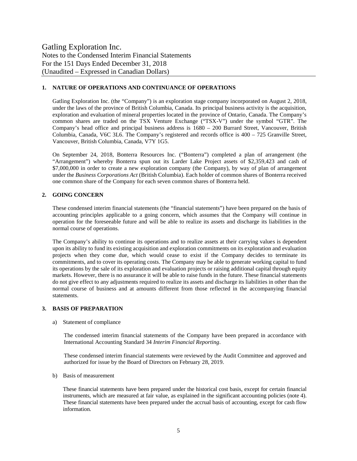#### **1. NATURE OF OPERATIONS AND CONTINUANCE OF OPERATIONS**

Gatling Exploration Inc. (the "Company") is an exploration stage company incorporated on August 2, 2018, under the laws of the province of British Columbia, Canada. Its principal business activity is the acquisition, exploration and evaluation of mineral properties located in the province of Ontario, Canada. The Company's common shares are traded on the TSX Venture Exchange ("TSX-V") under the symbol "GTR". The Company's head office and principal business address is 1680 – 200 Burrard Street, Vancouver, British Columbia, Canada, V6C 3L6. The Company's registered and records office is 400 – 725 Granville Street, Vancouver, British Columbia, Canada, V7Y 1G5.

On September 24, 2018, Bonterra Resources Inc. ("Bonterra") completed a plan of arrangement (the "Arrangement") whereby Bonterra spun out its Larder Lake Project assets of \$2,359,423 and cash of \$7,000,000 in order to create a new exploration company (the Company), by way of plan of arrangement under the *Business Corporations Act* (British Columbia). Each holder of common shares of Bonterra received one common share of the Company for each seven common shares of Bonterra held.

#### **2. GOING CONCERN**

These condensed interim financial statements (the "financial statements") have been prepared on the basis of accounting principles applicable to a going concern, which assumes that the Company will continue in operation for the foreseeable future and will be able to realize its assets and discharge its liabilities in the normal course of operations.

The Company's ability to continue its operations and to realize assets at their carrying values is dependent upon its ability to fund its existing acquisition and exploration commitments on its exploration and evaluation projects when they come due, which would cease to exist if the Company decides to terminate its commitments, and to cover its operating costs. The Company may be able to generate working capital to fund its operations by the sale of its exploration and evaluation projects or raising additional capital through equity markets. However, there is no assurance it will be able to raise funds in the future. These financial statements do not give effect to any adjustments required to realize its assets and discharge its liabilities in other than the normal course of business and at amounts different from those reflected in the accompanying financial statements.

#### **3. BASIS OF PREPARATION**

a) Statement of compliance

The condensed interim financial statements of the Company have been prepared in accordance with International Accounting Standard 34 *Interim Financial Reporting*.

These condensed interim financial statements were reviewed by the Audit Committee and approved and authorized for issue by the Board of Directors on February 28, 2019.

b) Basis of measurement

These financial statements have been prepared under the historical cost basis, except for certain financial instruments, which are measured at fair value, as explained in the significant accounting policies (note 4). These financial statements have been prepared under the accrual basis of accounting, except for cash flow information.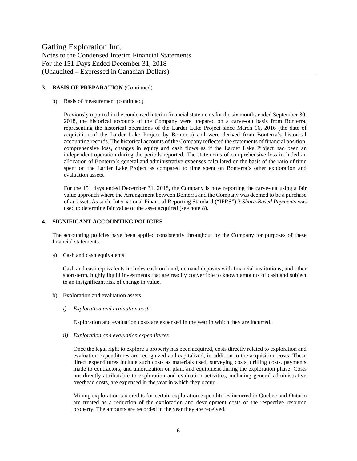#### **3. BASIS OF PREPARATION** (Continued)

b) Basis of measurement (continued)

Previously reported in the condensed interim financial statements for the six months ended September 30, 2018, the historical accounts of the Company were prepared on a carve-out basis from Bonterra, representing the historical operations of the Larder Lake Project since March 16, 2016 (the date of acquisition of the Larder Lake Project by Bonterra) and were derived from Bonterra's historical accounting records. The historical accounts of the Company reflected the statements of financial position, comprehensive loss, changes in equity and cash flows as if the Larder Lake Project had been an independent operation during the periods reported. The statements of comprehensive loss included an allocation of Bonterra's general and administrative expenses calculated on the basis of the ratio of time spent on the Larder Lake Project as compared to time spent on Bonterra's other exploration and evaluation assets.

For the 151 days ended December 31, 2018, the Company is now reporting the carve-out using a fair value approach where the Arrangement between Bonterra and the Company was deemed to be a purchase of an asset. As such, International Financial Reporting Standard ("IFRS") 2 *Share-Based Payments* was used to determine fair value of the asset acquired (see note 8).

#### **4. SIGNIFICANT ACCOUNTING POLICIES**

The accounting policies have been applied consistently throughout by the Company for purposes of these financial statements.

a) Cash and cash equivalents

Cash and cash equivalents includes cash on hand, demand deposits with financial institutions, and other short-term, highly liquid investments that are readily convertible to known amounts of cash and subject to an insignificant risk of change in value.

- b) Exploration and evaluation assets
	- *i) Exploration and evaluation costs*

Exploration and evaluation costs are expensed in the year in which they are incurred.

*ii) Exploration and evaluation expenditures*

Once the legal right to explore a property has been acquired, costs directly related to exploration and evaluation expenditures are recognized and capitalized, in addition to the acquisition costs. These direct expenditures include such costs as materials used, surveying costs, drilling costs, payments made to contractors, and amortization on plant and equipment during the exploration phase. Costs not directly attributable to exploration and evaluation activities, including general administrative overhead costs, are expensed in the year in which they occur.

Mining exploration tax credits for certain exploration expenditures incurred in Quebec and Ontario are treated as a reduction of the exploration and development costs of the respective resource property. The amounts are recorded in the year they are received.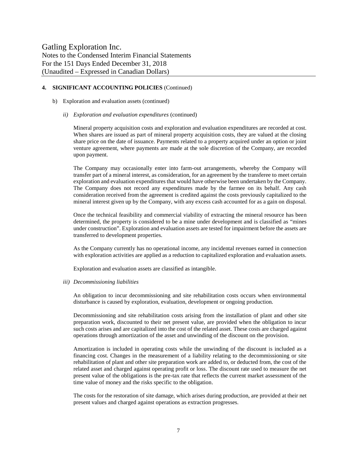#### **4. SIGNIFICANT ACCOUNTING POLICIES** (Continued)

- b) Exploration and evaluation assets (continued)
	- *ii) Exploration and evaluation expenditures* (continued)

Mineral property acquisition costs and exploration and evaluation expenditures are recorded at cost. When shares are issued as part of mineral property acquisition costs, they are valued at the closing share price on the date of issuance. Payments related to a property acquired under an option or joint venture agreement, where payments are made at the sole discretion of the Company, are recorded upon payment.

The Company may occasionally enter into farm-out arrangements, whereby the Company will transfer part of a mineral interest, as consideration, for an agreement by the transferee to meet certain exploration and evaluation expenditures that would have otherwise been undertaken by the Company. The Company does not record any expenditures made by the farmee on its behalf. Any cash consideration received from the agreement is credited against the costs previously capitalized to the mineral interest given up by the Company, with any excess cash accounted for as a gain on disposal.

Once the technical feasibility and commercial viability of extracting the mineral resource has been determined, the property is considered to be a mine under development and is classified as "mines under construction". Exploration and evaluation assets are tested for impairment before the assets are transferred to development properties.

As the Company currently has no operational income, any incidental revenues earned in connection with exploration activities are applied as a reduction to capitalized exploration and evaluation assets.

Exploration and evaluation assets are classified as intangible.

#### *iii) Decommissioning liabilities*

An obligation to incur decommissioning and site rehabilitation costs occurs when environmental disturbance is caused by exploration, evaluation, development or ongoing production.

Decommissioning and site rehabilitation costs arising from the installation of plant and other site preparation work, discounted to their net present value, are provided when the obligation to incur such costs arises and are capitalized into the cost of the related asset. These costs are charged against operations through amortization of the asset and unwinding of the discount on the provision.

Amortization is included in operating costs while the unwinding of the discount is included as a financing cost. Changes in the measurement of a liability relating to the decommissioning or site rehabilitation of plant and other site preparation work are added to, or deducted from, the cost of the related asset and charged against operating profit or loss. The discount rate used to measure the net present value of the obligations is the pre-tax rate that reflects the current market assessment of the time value of money and the risks specific to the obligation.

The costs for the restoration of site damage, which arises during production, are provided at their net present values and charged against operations as extraction progresses.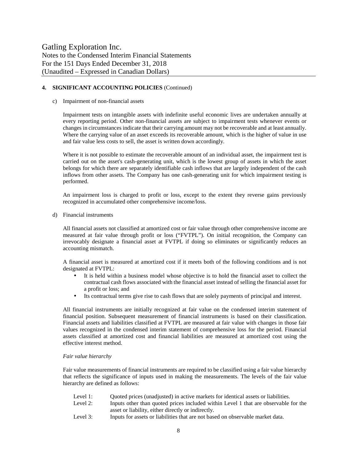#### **4. SIGNIFICANT ACCOUNTING POLICIES** (Continued)

#### c) Impairment of non-financial assets

Impairment tests on intangible assets with indefinite useful economic lives are undertaken annually at every reporting period. Other non-financial assets are subject to impairment tests whenever events or changes in circumstances indicate that their carrying amount may not be recoverable and at least annually. Where the carrying value of an asset exceeds its recoverable amount, which is the higher of value in use and fair value less costs to sell, the asset is written down accordingly.

Where it is not possible to estimate the recoverable amount of an individual asset, the impairment test is carried out on the asset's cash-generating unit, which is the lowest group of assets in which the asset belongs for which there are separately identifiable cash inflows that are largely independent of the cash inflows from other assets. The Company has one cash-generating unit for which impairment testing is performed.

An impairment loss is charged to profit or loss, except to the extent they reverse gains previously recognized in accumulated other comprehensive income/loss.

d) Financial instruments

All financial assets not classified at amortized cost or fair value through other comprehensive income are measured at fair value through profit or loss ("FVTPL"). On initial recognition, the Company can irrevocably designate a financial asset at FVTPL if doing so eliminates or significantly reduces an accounting mismatch.

A financial asset is measured at amortized cost if it meets both of the following conditions and is not designated at FVTPL:

- It is held within a business model whose objective is to hold the financial asset to collect the contractual cash flows associated with the financial asset instead of selling the financial asset for a profit or loss; and
- Its contractual terms give rise to cash flows that are solely payments of principal and interest.

All financial instruments are initially recognized at fair value on the condensed interim statement of financial position. Subsequent measurement of financial instruments is based on their classification. Financial assets and liabilities classified at FVTPL are measured at fair value with changes in those fair values recognized in the condensed interim statement of comprehensive loss for the period. Financial assets classified at amortized cost and financial liabilities are measured at amortized cost using the effective interest method.

#### *Fair value hierarchy*

Fair value measurements of financial instruments are required to be classified using a fair value hierarchy that reflects the significance of inputs used in making the measurements. The levels of the fair value hierarchy are defined as follows:

- Level 1: Quoted prices (unadjusted) in active markets for identical assets or liabilities.
- Level 2: Inputs other than quoted prices included within Level 1 that are observable for the asset or liability, either directly or indirectly.
- Level 3: Inputs for assets or liabilities that are not based on observable market data.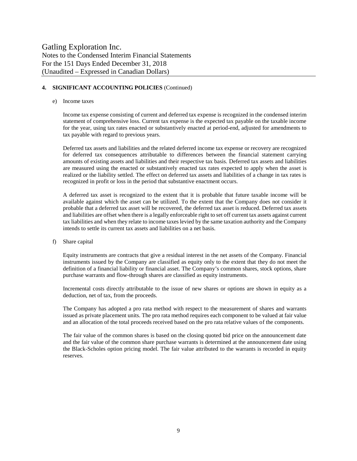#### **4. SIGNIFICANT ACCOUNTING POLICIES** (Continued)

#### e) Income taxes

Income tax expense consisting of current and deferred tax expense is recognized in the condensed interim statement of comprehensive loss. Current tax expense is the expected tax payable on the taxable income for the year, using tax rates enacted or substantively enacted at period-end, adjusted for amendments to tax payable with regard to previous years.

Deferred tax assets and liabilities and the related deferred income tax expense or recovery are recognized for deferred tax consequences attributable to differences between the financial statement carrying amounts of existing assets and liabilities and their respective tax basis. Deferred tax assets and liabilities are measured using the enacted or substantively enacted tax rates expected to apply when the asset is realized or the liability settled. The effect on deferred tax assets and liabilities of a change in tax rates is recognized in profit or loss in the period that substantive enactment occurs.

A deferred tax asset is recognized to the extent that it is probable that future taxable income will be available against which the asset can be utilized. To the extent that the Company does not consider it probable that a deferred tax asset will be recovered, the deferred tax asset is reduced. Deferred tax assets and liabilities are offset when there is a legally enforceable right to set off current tax assets against current tax liabilities and when they relate to income taxes levied by the same taxation authority and the Company intends to settle its current tax assets and liabilities on a net basis.

f) Share capital

Equity instruments are contracts that give a residual interest in the net assets of the Company. Financial instruments issued by the Company are classified as equity only to the extent that they do not meet the definition of a financial liability or financial asset. The Company's common shares, stock options, share purchase warrants and flow-through shares are classified as equity instruments.

Incremental costs directly attributable to the issue of new shares or options are shown in equity as a deduction, net of tax, from the proceeds.

The Company has adopted a pro rata method with respect to the measurement of shares and warrants issued as private placement units. The pro rata method requires each component to be valued at fair value and an allocation of the total proceeds received based on the pro rata relative values of the components.

The fair value of the common shares is based on the closing quoted bid price on the announcement date and the fair value of the common share purchase warrants is determined at the announcement date using the Black-Scholes option pricing model. The fair value attributed to the warrants is recorded in equity reserves.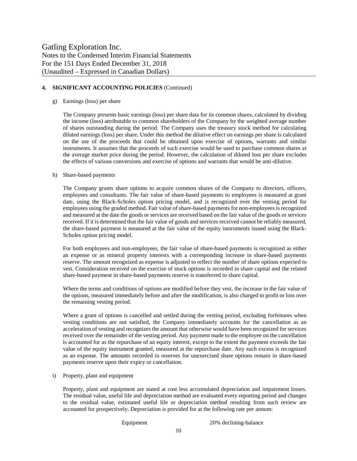#### **4. SIGNIFICANT ACCOUNTING POLICIES** (Continued)

#### g) Earnings (loss) per share

The Company presents basic earnings (loss) per share data for its common shares, calculated by dividing the income (loss) attributable to common shareholders of the Company by the weighted average number of shares outstanding during the period. The Company uses the treasury stock method for calculating diluted earnings (loss) per share. Under this method the dilutive effect on earnings per share is calculated on the use of the proceeds that could be obtained upon exercise of options, warrants and similar instruments. It assumes that the proceeds of such exercise would be used to purchase common shares at the average market price during the period. However, the calculation of diluted loss per share excludes the effects of various conversions and exercise of options and warrants that would be anti-dilutive.

#### h) Share-based payments

The Company grants share options to acquire common shares of the Company to directors, officers, employees and consultants. The fair value of share-based payments to employees is measured at grant date, using the Black-Scholes option pricing model, and is recognized over the vesting period for employees using the graded method. Fair value of share-based payments for non-employees is recognized and measured at the date the goods or services are received based on the fair value of the goods or services received. If it is determined that the fair value of goods and services received cannot be reliably measured, the share-based payment is measured at the fair value of the equity instruments issued using the Black-Scholes option pricing model.

For both employees and non-employees, the fair value of share-based payments is recognized as either an expense or as mineral property interests with a corresponding increase in share-based payments reserve. The amount recognized as expense is adjusted to reflect the number of share options expected to vest. Consideration received on the exercise of stock options is recorded in share capital and the related share-based payment in share-based payments reserve is transferred to share capital.

Where the terms and conditions of options are modified before they vest, the increase in the fair value of the options, measured immediately before and after the modification, is also charged to profit or loss over the remaining vesting period.

Where a grant of options is cancelled and settled during the vesting period, excluding forfeitures when vesting conditions are not satisfied, the Company immediately accounts for the cancellation as an acceleration of vesting and recognizes the amount that otherwise would have been recognized for services received over the remainder of the vesting period. Any payment made to the employee on the cancellation is accounted for as the repurchase of an equity interest, except to the extent the payment exceeds the fair value of the equity instrument granted, measured at the repurchase date. Any such excess is recognized as an expense. The amounts recorded in reserves for unexercised share options remain in share-based payments reserve upon their expiry or cancellation.

i) Property, plant and equipment

Property, plant and equipment are stated at cost less accumulated depreciation and impairment losses. The residual value, useful life and depreciation method are evaluated every reporting period and changes to the residual value, estimated useful life or depreciation method resulting from such review are accounted for prospectively. Depreciation is provided for at the following rate per annum:

Equipment 20% declining-balance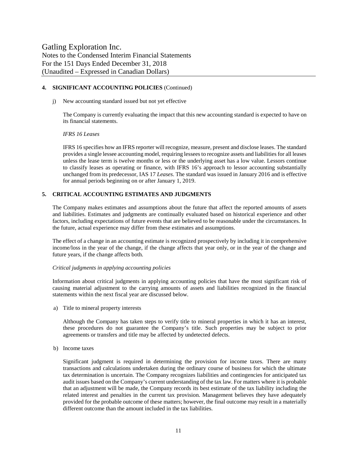#### **4. SIGNIFICANT ACCOUNTING POLICIES** (Continued)

j) New accounting standard issued but not yet effective

The Company is currently evaluating the impact that this new accounting standard is expected to have on its financial statements.

#### *IFRS 16 Leases*

IFRS 16 specifies how an IFRS reporter will recognize, measure, present and disclose leases. The standard provides a single lessee accounting model, requiring lessees to recognize assets and liabilities for all leases unless the lease term is twelve months or less or the underlying asset has a low value. Lessors continue to classify leases as operating or finance, with IFRS 16's approach to lessor accounting substantially unchanged from its predecessor, IAS 17 *Leases*. The standard was issued in January 2016 and is effective for annual periods beginning on or after January 1, 2019.

#### **5. CRITICAL ACCOUNTING ESTIMATES AND JUDGMENTS**

The Company makes estimates and assumptions about the future that affect the reported amounts of assets and liabilities. Estimates and judgments are continually evaluated based on historical experience and other factors, including expectations of future events that are believed to be reasonable under the circumstances. In the future, actual experience may differ from these estimates and assumptions.

The effect of a change in an accounting estimate is recognized prospectively by including it in comprehensive income/loss in the year of the change, if the change affects that year only, or in the year of the change and future years, if the change affects both.

#### *Critical judgments in applying accounting policies*

Information about critical judgments in applying accounting policies that have the most significant risk of causing material adjustment to the carrying amounts of assets and liabilities recognized in the financial statements within the next fiscal year are discussed below.

a) Title to mineral property interests

Although the Company has taken steps to verify title to mineral properties in which it has an interest, these procedures do not guarantee the Company's title. Such properties may be subject to prior agreements or transfers and title may be affected by undetected defects.

b) Income taxes

Significant judgment is required in determining the provision for income taxes. There are many transactions and calculations undertaken during the ordinary course of business for which the ultimate tax determination is uncertain. The Company recognizes liabilities and contingencies for anticipated tax audit issues based on the Company's current understanding of the tax law. For matters where it is probable that an adjustment will be made, the Company records its best estimate of the tax liability including the related interest and penalties in the current tax provision. Management believes they have adequately provided for the probable outcome of these matters; however, the final outcome may result in a materially different outcome than the amount included in the tax liabilities.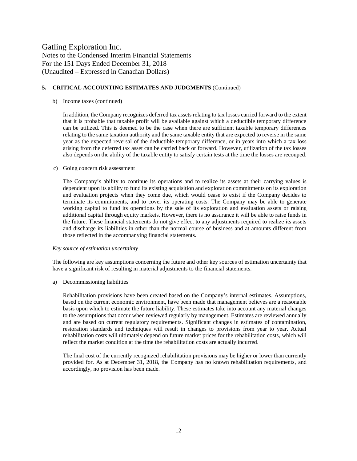#### **5. CRITICAL ACCOUNTING ESTIMATES AND JUDGMENTS** (Continued)

#### b) Income taxes (continued)

In addition, the Company recognizes deferred tax assets relating to tax losses carried forward to the extent that it is probable that taxable profit will be available against which a deductible temporary difference can be utilized. This is deemed to be the case when there are sufficient taxable temporary differences relating to the same taxation authority and the same taxable entity that are expected to reverse in the same year as the expected reversal of the deductible temporary difference, or in years into which a tax loss arising from the deferred tax asset can be carried back or forward. However, utilization of the tax losses also depends on the ability of the taxable entity to satisfy certain tests at the time the losses are recouped.

#### c) Going concern risk assessment

The Company's ability to continue its operations and to realize its assets at their carrying values is dependent upon its ability to fund its existing acquisition and exploration commitments on its exploration and evaluation projects when they come due, which would cease to exist if the Company decides to terminate its commitments, and to cover its operating costs. The Company may be able to generate working capital to fund its operations by the sale of its exploration and evaluation assets or raising additional capital through equity markets. However, there is no assurance it will be able to raise funds in the future. These financial statements do not give effect to any adjustments required to realize its assets and discharge its liabilities in other than the normal course of business and at amounts different from those reflected in the accompanying financial statements.

#### *Key source of estimation uncertainty*

The following are key assumptions concerning the future and other key sources of estimation uncertainty that have a significant risk of resulting in material adjustments to the financial statements.

a) Decommissioning liabilities

Rehabilitation provisions have been created based on the Company's internal estimates. Assumptions, based on the current economic environment, have been made that management believes are a reasonable basis upon which to estimate the future liability. These estimates take into account any material changes to the assumptions that occur when reviewed regularly by management. Estimates are reviewed annually and are based on current regulatory requirements. Significant changes in estimates of contamination, restoration standards and techniques will result in changes to provisions from year to year. Actual rehabilitation costs will ultimately depend on future market prices for the rehabilitation costs, which will reflect the market condition at the time the rehabilitation costs are actually incurred.

The final cost of the currently recognized rehabilitation provisions may be higher or lower than currently provided for. As at December 31, 2018, the Company has no known rehabilitation requirements, and accordingly, no provision has been made.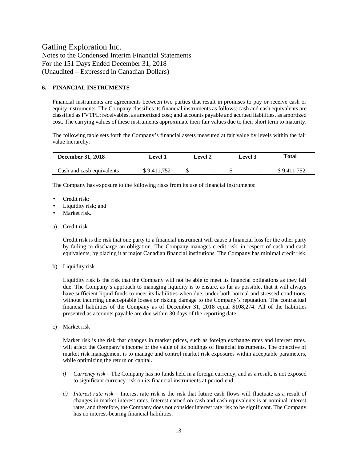#### **6. FINANCIAL INSTRUMENTS**

Financial instruments are agreements between two parties that result in promises to pay or receive cash or equity instruments. The Company classifies its financial instruments as follows: cash and cash equivalents are classified as FVTPL; receivables, as amortized cost; and accounts payable and accrued liabilities, as amortized cost. The carrying values of these instruments approximate their fair values due to their short term to maturity.

The following table sets forth the Company's financial assets measured at fair value by levels within the fair value hierarchy:

| <b>December 31, 2018</b>  | <b>Level 1</b> | <b>Level 3</b><br>Level 2 |        | Total       |
|---------------------------|----------------|---------------------------|--------|-------------|
| Cash and cash equivalents | \$9.411.752    | $\overline{\phantom{a}}$  | $\sim$ | \$9.411.752 |

The Company has exposure to the following risks from its use of financial instruments:

- Credit risk;
- Liquidity risk; and
- Market risk.
- a) Credit risk

Credit risk is the risk that one party to a financial instrument will cause a financial loss for the other party by failing to discharge an obligation. The Company manages credit risk, in respect of cash and cash equivalents, by placing it at major Canadian financial institutions. The Company has minimal credit risk.

b) Liquidity risk

Liquidity risk is the risk that the Company will not be able to meet its financial obligations as they fall due. The Company's approach to managing liquidity is to ensure, as far as possible, that it will always have sufficient liquid funds to meet its liabilities when due, under both normal and stressed conditions, without incurring unacceptable losses or risking damage to the Company's reputation. The contractual financial liabilities of the Company as of December 31, 2018 equal \$108,274. All of the liabilities presented as accounts payable are due within 30 days of the reporting date.

c) Market risk

Market risk is the risk that changes in market prices, such as foreign exchange rates and interest rates, will affect the Company's income or the value of its holdings of financial instruments. The objective of market risk management is to manage and control market risk exposures within acceptable parameters, while optimizing the return on capital.

- *i) Currency risk* The Company has no funds held in a foreign currency, and as a result, is not exposed to significant currency risk on its financial instruments at period-end.
- *ii) Interest rate risk –* Interest rate risk is the risk that future cash flows will fluctuate as a result of changes in market interest rates. Interest earned on cash and cash equivalents is at nominal interest rates, and therefore, the Company does not consider interest rate risk to be significant. The Company has no interest-bearing financial liabilities.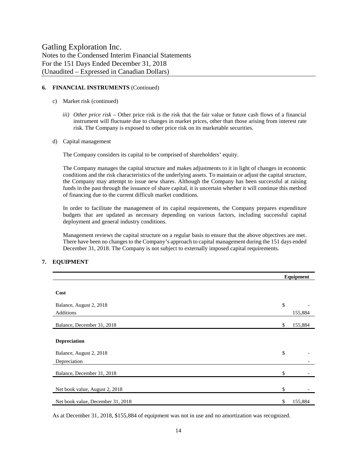#### **6. FINANCIAL INSTRUMENTS** (Continued)

- c) Market risk (continued)
	- *iii) Other price risk –* Other price risk is the risk that the fair value or future cash flows of a financial instrument will fluctuate due to changes in market prices, other than those arising from interest rate risk. The Company is exposed to other price risk on its marketable securities.
- d) Capital management

The Company considers its capital to be comprised of shareholders' equity.

The Company manages the capital structure and makes adjustments to it in light of changes in economic conditions and the risk characteristics of the underlying assets. To maintain or adjust the capital structure, the Company may attempt to issue new shares. Although the Company has been successful at raising funds in the past through the issuance of share capital, it is uncertain whether it will continue this method of financing due to the current difficult market conditions.

In order to facilitate the management of its capital requirements, the Company prepares expenditure budgets that are updated as necessary depending on various factors, including successful capital deployment and general industry conditions.

Management reviews the capital structure on a regular basis to ensure that the above objectives are met. There have been no changes to the Company's approach to capital management during the 151 days ended December 31, 2018. The Company is not subject to externally imposed capital requirements.

#### **7. EQUIPMENT**

|                                   | Equipment |         |
|-----------------------------------|-----------|---------|
|                                   |           |         |
| Cost                              |           |         |
| Balance, August 2, 2018           | \$        |         |
| <b>Additions</b>                  |           | 155,884 |
| Balance, December 31, 2018        | \$        | 155,884 |
|                                   |           |         |
| <b>Depreciation</b>               |           |         |
| Balance, August 2, 2018           | \$        |         |
| Depreciation                      |           |         |
| Balance, December 31, 2018        | \$        |         |
|                                   |           |         |
| Net book value, August 2, 2018    | \$        |         |
| Net book value, December 31, 2018 | \$        | 155,884 |

As at December 31, 2018, \$155,884 of equipment was not in use and no amortization was recognized.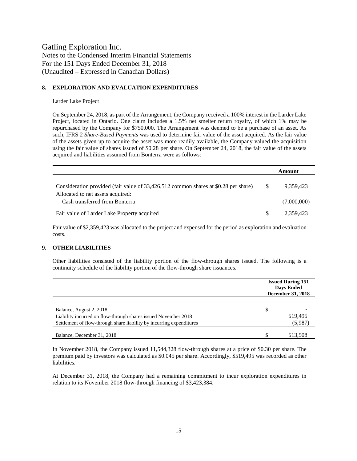#### **8. EXPLORATION AND EVALUATION EXPENDITURES**

Larder Lake Project

On September 24, 2018, as part of the Arrangement, the Company received a 100% interest in the Larder Lake Project, located in Ontario. One claim includes a 1.5% net smelter return royalty, of which 1% may be repurchased by the Company for \$750,000. The Arrangement was deemed to be a purchase of an asset. As such, IFRS 2 *Share-Based Payments* was used to determine fair value of the asset acquired. As the fair value of the assets given up to acquire the asset was more readily available, the Company valued the acquisition using the fair value of shares issued of \$0.28 per share. On September 24, 2018, the fair value of the assets acquired and liabilities assumed from Bonterra were as follows:

|                                                                                     |    | Amount      |
|-------------------------------------------------------------------------------------|----|-------------|
| Consideration provided (fair value of 33,426,512 common shares at \$0.28 per share) | -S | 9.359.423   |
| Allocated to net assets acquired:                                                   |    |             |
| Cash transferred from Bonterra                                                      |    | (7,000,000) |
| Fair value of Larder Lake Property acquired                                         |    | 2,359,423   |

Fair value of \$2,359,423 was allocated to the project and expensed for the period as exploration and evaluation costs.

#### **9. OTHER LIABILITIES**

Other liabilities consisted of the liability portion of the flow-through shares issued. The following is a continuity schedule of the liability portion of the flow-through share issuances.

|                                                                      | <b>Issued During 151</b><br><b>Days Ended</b><br><b>December 31, 2018</b> |         |
|----------------------------------------------------------------------|---------------------------------------------------------------------------|---------|
| Balance, August 2, 2018                                              | \$                                                                        |         |
| Liability incurred on flow-through shares issued November 2018       |                                                                           | 519,495 |
| Settlement of flow-through share liability by incurring expenditures |                                                                           | (5,987) |
| Balance, December 31, 2018                                           |                                                                           | 513,508 |

In November 2018, the Company issued 11,544,328 flow-through shares at a price of \$0.30 per share. The premium paid by investors was calculated as \$0.045 per share. Accordingly, \$519,495 was recorded as other liabilities.

At December 31, 2018, the Company had a remaining commitment to incur exploration expenditures in relation to its November 2018 flow-through financing of \$3,423,384.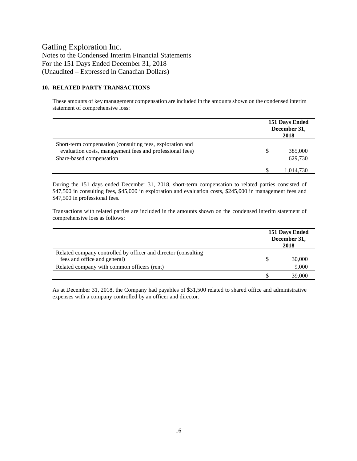#### **10. RELATED PARTY TRANSACTIONS**

These amounts of key management compensation are included in the amounts shown on the condensed interim statement of comprehensive loss:

|                                                                                                                       | 151 Days Ended<br>December 31,<br>2018 |  |
|-----------------------------------------------------------------------------------------------------------------------|----------------------------------------|--|
| Short-term compensation (consulting fees, exploration and<br>evaluation costs, management fees and professional fees) | 385,000                                |  |
| Share-based compensation                                                                                              | 629,730                                |  |
|                                                                                                                       | 1.014.730                              |  |

During the 151 days ended December 31, 2018, short-term compensation to related parties consisted of \$47,500 in consulting fees, \$45,000 in exploration and evaluation costs, \$245,000 in management fees and \$47,500 in professional fees.

Transactions with related parties are included in the amounts shown on the condensed interim statement of comprehensive loss as follows:

|                                                                                                | 151 Days Ended<br>December 31,<br>2018 |        |
|------------------------------------------------------------------------------------------------|----------------------------------------|--------|
| Related company controlled by officer and director (consulting<br>fees and office and general) |                                        | 30,000 |
| Related company with common officers (rent)                                                    |                                        | 9,000  |
|                                                                                                |                                        | 39,000 |

As at December 31, 2018, the Company had payables of \$31,500 related to shared office and administrative expenses with a company controlled by an officer and director.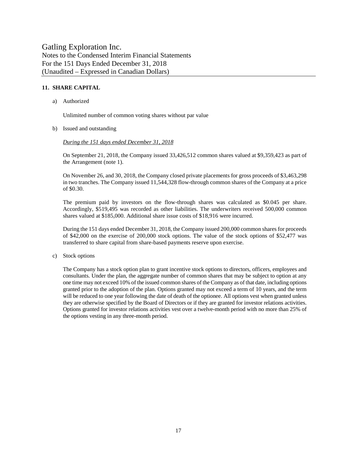#### **11. SHARE CAPITAL**

a) Authorized

Unlimited number of common voting shares without par value

b) Issued and outstanding

#### *During the 151 days ended December 31, 2018*

On September 21, 2018, the Company issued 33,426,512 common shares valued at \$9,359,423 as part of the Arrangement (note 1).

On November 26, and 30, 2018, the Company closed private placements for gross proceeds of \$3,463,298 in two tranches. The Company issued 11,544,328 flow-through common shares of the Company at a price of \$0.30.

The premium paid by investors on the flow-through shares was calculated as \$0.045 per share. Accordingly, \$519,495 was recorded as other liabilities. The underwriters received 500,000 common shares valued at \$185,000. Additional share issue costs of \$18,916 were incurred.

During the 151 days ended December 31, 2018, the Company issued 200,000 common shares for proceeds of \$42,000 on the exercise of 200,000 stock options. The value of the stock options of \$52,477 was transferred to share capital from share-based payments reserve upon exercise.

c) Stock options

The Company has a stock option plan to grant incentive stock options to directors, officers, employees and consultants. Under the plan, the aggregate number of common shares that may be subject to option at any one time may not exceed 10% of the issued common shares of the Company as of that date, including options granted prior to the adoption of the plan. Options granted may not exceed a term of 10 years, and the term will be reduced to one year following the date of death of the optionee. All options vest when granted unless they are otherwise specified by the Board of Directors or if they are granted for investor relations activities. Options granted for investor relations activities vest over a twelve-month period with no more than 25% of the options vesting in any three-month period.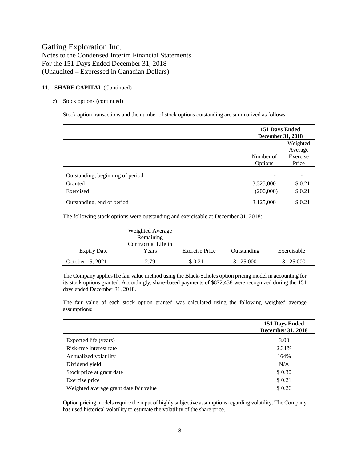#### **11. SHARE CAPITAL** (Continued)

#### c) Stock options (continued)

Stock option transactions and the number of stock options outstanding are summarized as follows:

|                                  | 151 Days Ended<br><b>December 31, 2018</b> |                                 |  |
|----------------------------------|--------------------------------------------|---------------------------------|--|
|                                  | Number of                                  | Weighted<br>Average<br>Exercise |  |
|                                  | Options                                    | Price                           |  |
| Outstanding, beginning of period |                                            | $\overline{a}$                  |  |
| Granted                          | 3,325,000                                  | \$0.21                          |  |
| Exercised                        | (200,000)                                  | \$0.21                          |  |
| Outstanding, end of period       | 3,125,000                                  | \$0.21                          |  |

The following stock options were outstanding and exercisable at December 31, 2018:

| <b>Expiry Date</b> | Weighted Average<br>Remaining<br>Contractual Life in<br>Years | <b>Exercise Price</b> | Outstanding | Exercisable |
|--------------------|---------------------------------------------------------------|-----------------------|-------------|-------------|
|                    |                                                               |                       |             |             |
| October 15, 2021   | 2.79                                                          | \$0.21                | 3,125,000   | 3,125,000   |

The Company applies the fair value method using the Black-Scholes option pricing model in accounting for its stock options granted. Accordingly, share-based payments of \$872,438 were recognized during the 151 days ended December 31, 2018.

The fair value of each stock option granted was calculated using the following weighted average assumptions:

|                                        | 151 Days Ended<br><b>December 31, 2018</b> |
|----------------------------------------|--------------------------------------------|
| Expected life (years)                  | 3.00                                       |
| Risk-free interest rate                | 2.31%                                      |
| Annualized volatility                  | 164%                                       |
| Dividend yield                         | N/A                                        |
| Stock price at grant date              | \$0.30                                     |
| Exercise price                         | \$0.21                                     |
| Weighted average grant date fair value | \$0.26                                     |

Option pricing models require the input of highly subjective assumptions regarding volatility. The Company has used historical volatility to estimate the volatility of the share price.